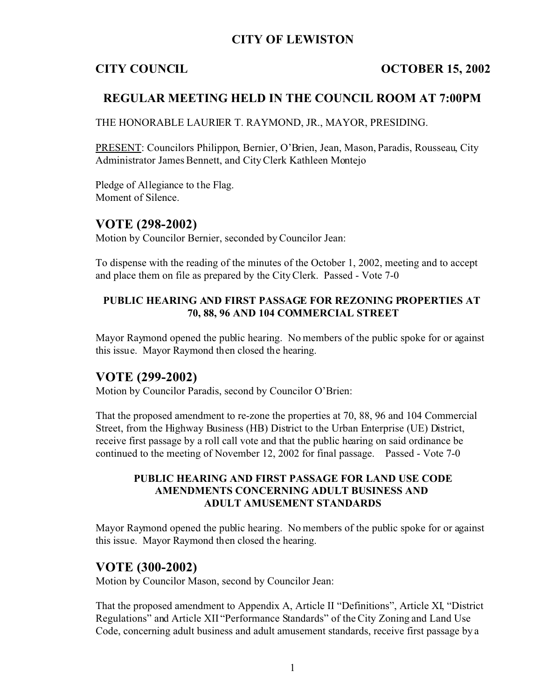# **CITY OF LEWISTON**

## **CITY COUNCIL OCTOBER 15, 2002**

## **REGULAR MEETING HELD IN THE COUNCIL ROOM AT 7:00PM**

THE HONORABLE LAURIER T. RAYMOND, JR., MAYOR, PRESIDING.

PRESENT: Councilors Philippon, Bernier, O'Brien, Jean, Mason, Paradis, Rousseau, City Administrator James Bennett, and City Clerk Kathleen Montejo

Pledge of Allegiance to the Flag. Moment of Silence.

## **VOTE (298-2002)**

Motion by Councilor Bernier, seconded by Councilor Jean:

To dispense with the reading of the minutes of the October 1, 2002, meeting and to accept and place them on file as prepared by the City Clerk. Passed - Vote 7-0

### **PUBLIC HEARING AND FIRST PASSAGE FOR REZONING PROPERTIES AT 70, 88, 96 AND 104 COMMERCIAL STREET**

Mayor Raymond opened the public hearing. No members of the public spoke for or against this issue. Mayor Raymond then closed the hearing.

## **VOTE (299-2002)**

Motion by Councilor Paradis, second by Councilor O'Brien:

That the proposed amendment to re-zone the properties at 70, 88, 96 and 104 Commercial Street, from the Highway Business (HB) District to the Urban Enterprise (UE) District, receive first passage by a roll call vote and that the public hearing on said ordinance be continued to the meeting of November 12, 2002 for final passage. Passed - Vote 7-0

#### **PUBLIC HEARING AND FIRST PASSAGE FOR LAND USE CODE AMENDMENTS CONCERNING ADULT BUSINESS AND ADULT AMUSEMENT STANDARDS**

Mayor Raymond opened the public hearing. No members of the public spoke for or against this issue. Mayor Raymond then closed the hearing.

## **VOTE (300-2002)**

Motion by Councilor Mason, second by Councilor Jean:

That the proposed amendment to Appendix A, Article II "Definitions", Article XI, "District Regulations" and Article XII "Performance Standards" of the City Zoning and Land Use Code, concerning adult business and adult amusement standards, receive first passage by a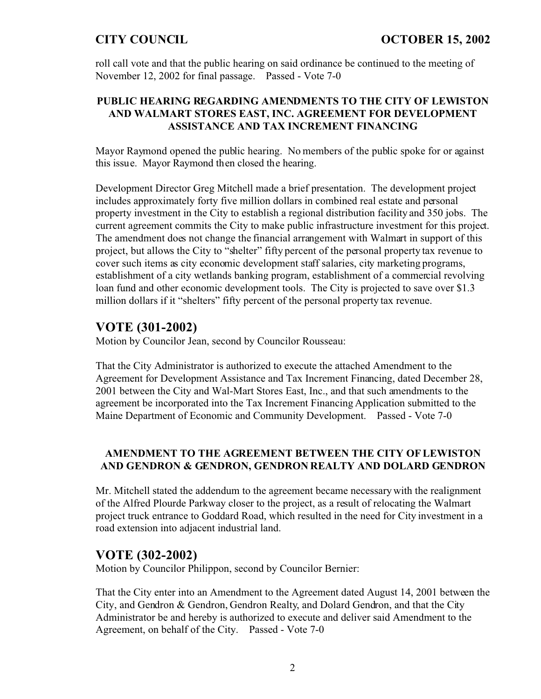roll call vote and that the public hearing on said ordinance be continued to the meeting of November 12, 2002 for final passage. Passed - Vote 7-0

### **PUBLIC HEARING REGARDING AMENDMENTS TO THE CITY OF LEWISTON AND WALMART STORES EAST, INC. AGREEMENT FOR DEVELOPMENT ASSISTANCE AND TAX INCREMENT FINANCING**

Mayor Raymond opened the public hearing. No members of the public spoke for or against this issue. Mayor Raymond then closed the hearing.

Development Director Greg Mitchell made a brief presentation. The development project includes approximately forty five million dollars in combined real estate and personal property investment in the City to establish a regional distribution facility and 350 jobs. The current agreement commits the City to make public infrastructure investment for this project. The amendment does not change the financial arrangement with Walmart in support of this project, but allows the City to "shelter" fifty percent of the personal property tax revenue to cover such items as city economic development staff salaries, city marketing programs, establishment of a city wetlands banking program, establishment of a commercial revolving loan fund and other economic development tools. The City is projected to save over \$1.3 million dollars if it "shelters" fifty percent of the personal property tax revenue.

# **VOTE (301-2002)**

Motion by Councilor Jean, second by Councilor Rousseau:

That the City Administrator is authorized to execute the attached Amendment to the Agreement for Development Assistance and Tax Increment Financing, dated December 28, 2001 between the City and Wal-Mart Stores East, Inc., and that such amendments to the agreement be incorporated into the Tax Increment Financing Application submitted to the Maine Department of Economic and Community Development. Passed - Vote 7-0

## **AMENDMENT TO THE AGREEMENT BETWEEN THE CITY OF LEWISTON AND GENDRON & GENDRON, GENDRON REALTY AND DOLARD GENDRON**

Mr. Mitchell stated the addendum to the agreement became necessary with the realignment of the Alfred Plourde Parkway closer to the project, as a result of relocating the Walmart project truck entrance to Goddard Road, which resulted in the need for City investment in a road extension into adjacent industrial land.

# **VOTE (302-2002)**

Motion by Councilor Philippon, second by Councilor Bernier:

That the City enter into an Amendment to the Agreement dated August 14, 2001 between the City, and Gendron & Gendron, Gendron Realty, and Dolard Gendron, and that the City Administrator be and hereby is authorized to execute and deliver said Amendment to the Agreement, on behalf of the City. Passed - Vote 7-0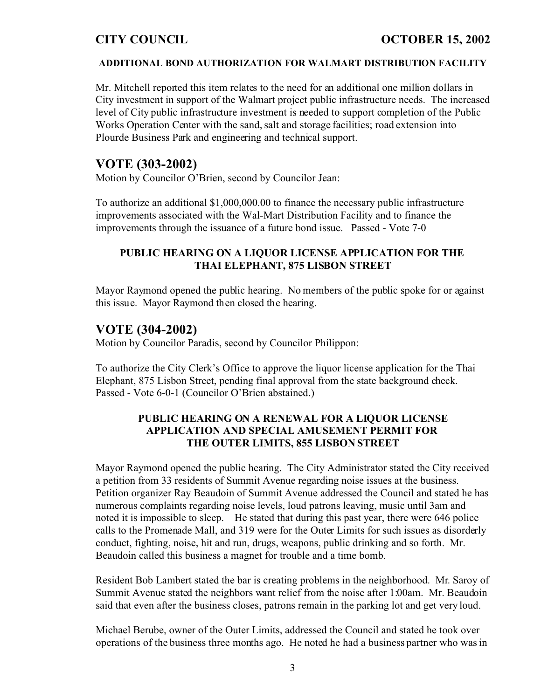# **CITY COUNCIL OCTOBER 15, 2002**

#### **ADDITIONAL BOND AUTHORIZATION FOR WALMART DISTRIBUTION FACILITY**

Mr. Mitchell reported this item relates to the need for an additional one million dollars in City investment in support of the Walmart project public infrastructure needs. The increased level of City public infrastructure investment is needed to support completion of the Public Works Operation Center with the sand, salt and storage facilities; road extension into Plourde Business Park and engineering and technical support.

## **VOTE (303-2002)**

Motion by Councilor O'Brien, second by Councilor Jean:

To authorize an additional \$1,000,000.00 to finance the necessary public infrastructure improvements associated with the Wal-Mart Distribution Facility and to finance the improvements through the issuance of a future bond issue. Passed - Vote 7-0

### **PUBLIC HEARING ON A LIQUOR LICENSE APPLICATION FOR THE THAI ELEPHANT, 875 LISBON STREET**

Mayor Raymond opened the public hearing. No members of the public spoke for or against this issue. Mayor Raymond then closed the hearing.

# **VOTE (304-2002)**

Motion by Councilor Paradis, second by Councilor Philippon:

To authorize the City Clerk's Office to approve the liquor license application for the Thai Elephant, 875 Lisbon Street, pending final approval from the state background check. Passed - Vote 6-0-1 (Councilor O'Brien abstained.)

### **PUBLIC HEARING ON A RENEWAL FOR A LIQUOR LICENSE APPLICATION AND SPECIAL AMUSEMENT PERMIT FOR THE OUTER LIMITS, 855 LISBON STREET**

Mayor Raymond opened the public hearing. The City Administrator stated the City received a petition from 33 residents of Summit Avenue regarding noise issues at the business. Petition organizer Ray Beaudoin of Summit Avenue addressed the Council and stated he has numerous complaints regarding noise levels, loud patrons leaving, music until 3am and noted it is impossible to sleep. He stated that during this past year, there were 646 police calls to the Promenade Mall, and 319 were for the Outer Limits for such issues as disorderly conduct, fighting, noise, hit and run, drugs, weapons, public drinking and so forth. Mr. Beaudoin called this business a magnet for trouble and a time bomb.

Resident Bob Lambert stated the bar is creating problems in the neighborhood. Mr. Saroy of Summit Avenue stated the neighbors want relief from the noise after 1:00am. Mr. Beaudoin said that even after the business closes, patrons remain in the parking lot and get very loud.

Michael Berube, owner of the Outer Limits, addressed the Council and stated he took over operations of the business three months ago. He noted he had a business partner who was in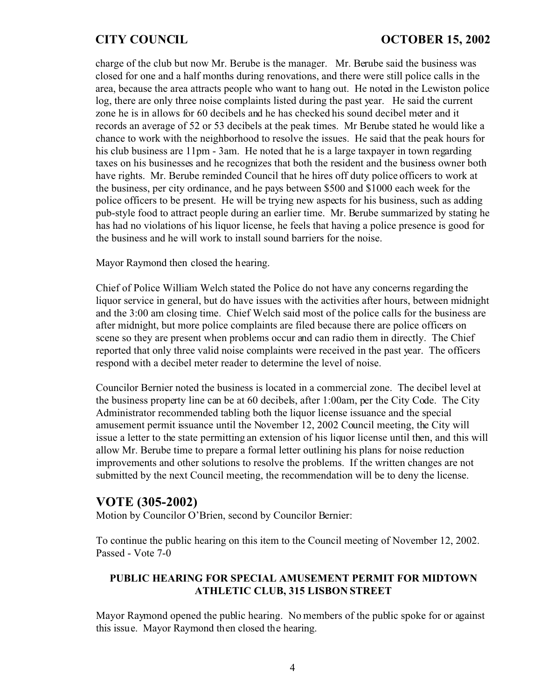charge of the club but now Mr. Berube is the manager. Mr. Berube said the business was closed for one and a half months during renovations, and there were still police calls in the area, because the area attracts people who want to hang out. He noted in the Lewiston police log, there are only three noise complaints listed during the past year. He said the current zone he is in allows for 60 decibels and he has checked his sound decibel meter and it records an average of 52 or 53 decibels at the peak times. Mr Berube stated he would like a chance to work with the neighborhood to resolve the issues. He said that the peak hours for his club business are 11pm - 3am. He noted that he is a large taxpayer in town regarding taxes on his businesses and he recognizes that both the resident and the business owner both have rights. Mr. Berube reminded Council that he hires off duty police officers to work at the business, per city ordinance, and he pays between \$500 and \$1000 each week for the police officers to be present. He will be trying new aspects for his business, such as adding pub-style food to attract people during an earlier time. Mr. Berube summarized by stating he has had no violations of his liquor license, he feels that having a police presence is good for the business and he will work to install sound barriers for the noise.

Mayor Raymond then closed the hearing.

Chief of Police William Welch stated the Police do not have any concerns regarding the liquor service in general, but do have issues with the activities after hours, between midnight and the 3:00 am closing time. Chief Welch said most of the police calls for the business are after midnight, but more police complaints are filed because there are police officers on scene so they are present when problems occur and can radio them in directly. The Chief reported that only three valid noise complaints were received in the past year. The officers respond with a decibel meter reader to determine the level of noise.

Councilor Bernier noted the business is located in a commercial zone. The decibel level at the business property line can be at 60 decibels, after 1:00am, per the City Code. The City Administrator recommended tabling both the liquor license issuance and the special amusement permit issuance until the November 12, 2002 Council meeting, the City will issue a letter to the state permitting an extension of his liquor license until then, and this will allow Mr. Berube time to prepare a formal letter outlining his plans for noise reduction improvements and other solutions to resolve the problems. If the written changes are not submitted by the next Council meeting, the recommendation will be to deny the license.

## **VOTE (305-2002)**

Motion by Councilor O'Brien, second by Councilor Bernier:

To continue the public hearing on this item to the Council meeting of November 12, 2002. Passed - Vote 7-0

### **PUBLIC HEARING FOR SPECIAL AMUSEMENT PERMIT FOR MIDTOWN ATHLETIC CLUB, 315 LISBON STREET**

Mayor Raymond opened the public hearing. No members of the public spoke for or against this issue. Mayor Raymond then closed the hearing.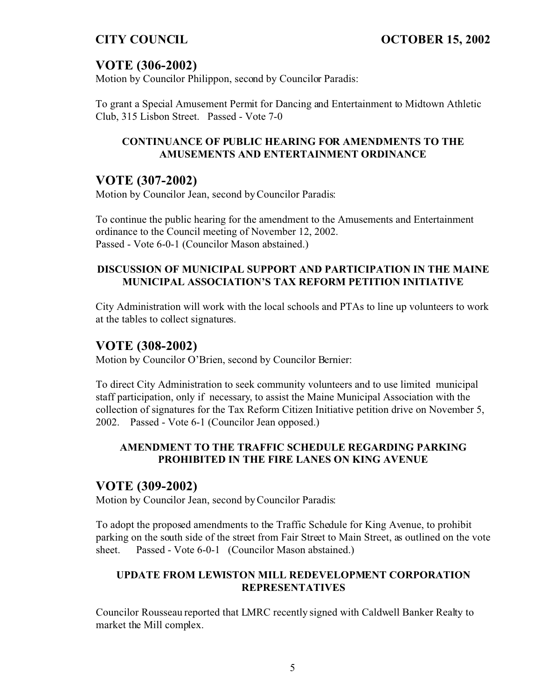# **VOTE (306-2002)**

Motion by Councilor Philippon, second by Councilor Paradis:

To grant a Special Amusement Permit for Dancing and Entertainment to Midtown Athletic Club, 315 Lisbon Street. Passed - Vote 7-0

## **CONTINUANCE OF PUBLIC HEARING FOR AMENDMENTS TO THE AMUSEMENTS AND ENTERTAINMENT ORDINANCE**

# **VOTE (307-2002)**

Motion by Councilor Jean, second by Councilor Paradis:

To continue the public hearing for the amendment to the Amusements and Entertainment ordinance to the Council meeting of November 12, 2002. Passed - Vote 6-0-1 (Councilor Mason abstained.)

## **DISCUSSION OF MUNICIPAL SUPPORT AND PARTICIPATION IN THE MAINE MUNICIPAL ASSOCIATION'S TAX REFORM PETITION INITIATIVE**

City Administration will work with the local schools and PTAs to line up volunteers to work at the tables to collect signatures.

# **VOTE (308-2002)**

Motion by Councilor O'Brien, second by Councilor Bernier:

To direct City Administration to seek community volunteers and to use limited municipal staff participation, only if necessary, to assist the Maine Municipal Association with the collection of signatures for the Tax Reform Citizen Initiative petition drive on November 5, 2002. Passed - Vote 6-1 (Councilor Jean opposed.)

## **AMENDMENT TO THE TRAFFIC SCHEDULE REGARDING PARKING PROHIBITED IN THE FIRE LANES ON KING AVENUE**

## **VOTE (309-2002)**

Motion by Councilor Jean, second by Councilor Paradis:

To adopt the proposed amendments to the Traffic Schedule for King Avenue, to prohibit parking on the south side of the street from Fair Street to Main Street, as outlined on the vote sheet. Passed - Vote 6-0-1 (Councilor Mason abstained.)

### **UPDATE FROM LEWISTON MILL REDEVELOPMENT CORPORATION REPRESENTATIVES**

Councilor Rousseau reported that LMRC recently signed with Caldwell Banker Realty to market the Mill complex.